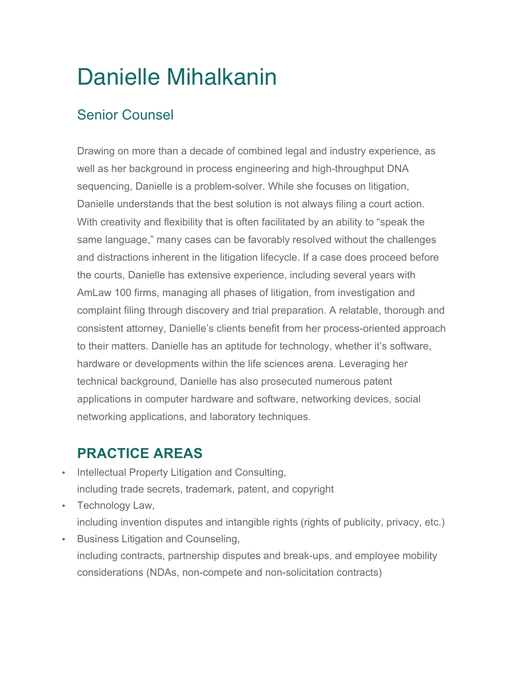# Danielle Mihalkanin

# Senior Counsel

Drawing on more than a decade of combined legal and industry experience, as well as her background in process engineering and high-throughput DNA sequencing, Danielle is a problem-solver. While she focuses on litigation, Danielle understands that the best solution is not always filing a court action. With creativity and flexibility that is often facilitated by an ability to "speak the same language," many cases can be favorably resolved without the challenges and distractions inherent in the litigation lifecycle. If a case does proceed before the courts, Danielle has extensive experience, including several years with AmLaw 100 firms, managing all phases of litigation, from investigation and complaint filing through discovery and trial preparation. A relatable, thorough and consistent attorney, Danielle's clients benefit from her process-oriented approach to their matters. Danielle has an aptitude for technology, whether it's software, hardware or developments within the life sciences arena. Leveraging her technical background, Danielle has also prosecuted numerous patent applications in computer hardware and software, networking devices, social networking applications, and laboratory techniques.

# **PRACTICE AREAS**

- Intellectual Property Litigation and Consulting, including trade secrets, trademark, patent, and copyright
- Technology Law, including invention disputes and intangible rights (rights of publicity, privacy, etc.)
- Business Litigation and Counseling, including contracts, partnership disputes and break-ups, and employee mobility considerations (NDAs, non-compete and non-solicitation contracts)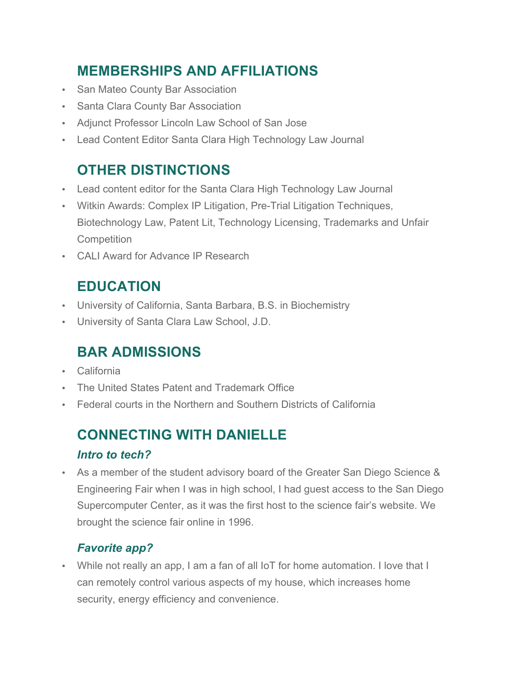# **MEMBERSHIPS AND AFFILIATIONS**

- San Mateo County Bar Association
- Santa Clara County Bar Association
- Adjunct Professor Lincoln Law School of San Jose
- Lead Content Editor Santa Clara High Technology Law Journal

# **OTHER DISTINCTIONS**

- Lead content editor for the Santa Clara High Technology Law Journal
- Witkin Awards: Complex IP Litigation, Pre-Trial Litigation Techniques, Biotechnology Law, Patent Lit, Technology Licensing, Trademarks and Unfair **Competition**
- CALI Award for Advance IP Research

# **EDUCATION**

- University of California, Santa Barbara, B.S. in Biochemistry
- University of Santa Clara Law School, J.D.

## **BAR ADMISSIONS**

- **California**
- The United States Patent and Trademark Office
- Federal courts in the Northern and Southern Districts of California

# **CONNECTING WITH DANIELLE**

#### *Intro to tech?*

• As a member of the student advisory board of the Greater San Diego Science & Engineering Fair when I was in high school, I had guest access to the San Diego Supercomputer Center, as it was the first host to the science fair's website. We brought the science fair online in 1996.

## *Favorite app?*

• While not really an app, I am a fan of all IoT for home automation. I love that I can remotely control various aspects of my house, which increases home security, energy efficiency and convenience.